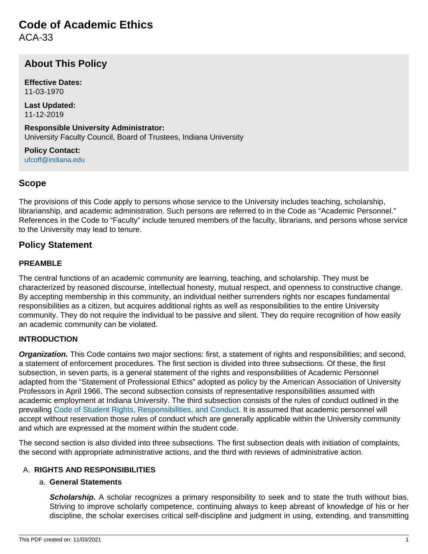# **Code of Academic Ethics**

ACA-33

# **About This Policy**

**Effective Dates:** 11-03-1970

**Last Updated:** 11-12-2019

**Responsible University Administrator:** University Faculty Council, Board of Trustees, Indiana University

**Policy Contact:** [ufcoff@indiana.edu](mailto:ufcoff@indiana.edu)

## **Scope**

The provisions of this Code apply to persons whose service to the University includes teaching, scholarship, librarianship, and academic administration. Such persons are referred to in the Code as "Academic Personnel." References in the Code to "Faculty" include tenured members of the faculty, librarians, and persons whose service to the University may lead to tenure.

## **Policy Statement**

#### **PREAMBLE**

The central functions of an academic community are learning, teaching, and scholarship. They must be characterized by reasoned discourse, intellectual honesty, mutual respect, and openness to constructive change. By accepting membership in this community, an individual neither surrenders rights nor escapes fundamental responsibilities as a citizen, but acquires additional rights as well as responsibilities to the entire University community. They do not require the individual to be passive and silent. They do require recognition of how easily an academic community can be violated.

#### **INTRODUCTION**

**Organization.** This Code contains two major sections: first, a statement of rights and responsibilities; and second, a statement of enforcement procedures. The first section is divided into three subsections. Of these, the first subsection, in seven parts, is a general statement of the rights and responsibilities of Academic Personnel adapted from the "Statement of Professional Ethics" adopted as policy by the American Association of University Professors in April 1966. The second subsection consists of representative responsibilities assumed with academic employment at Indiana University. The third subsection consists of the rules of conduct outlined in the prevailing [Code of Student Rights, Responsibilities, and Conduct.](https://studentcode.iu.edu/index.html) It is assumed that academic personnel will accept without reservation those rules of conduct which are generally applicable within the University community and which are expressed at the moment within the student code.

The second section is also divided into three subsections. The first subsection deals with initiation of complaints, the second with appropriate administrative actions, and the third with reviews of administrative action.

#### A. **RIGHTS AND RESPONSIBILITIES**

#### a. **General Statements**

**Scholarship.** A scholar recognizes a primary responsibility to seek and to state the truth without bias. Striving to improve scholarly competence, continuing always to keep abreast of knowledge of his or her discipline, the scholar exercises critical self-discipline and judgment in using, extending, and transmitting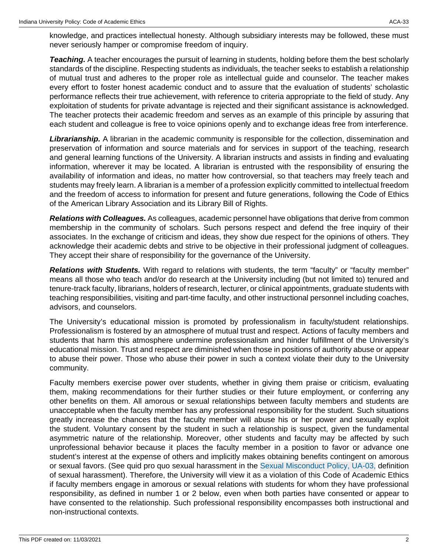knowledge, and practices intellectual honesty. Although subsidiary interests may be followed, these must never seriously hamper or compromise freedom of inquiry.

**Teaching.** A teacher encourages the pursuit of learning in students, holding before them the best scholarly standards of the discipline. Respecting students as individuals, the teacher seeks to establish a relationship of mutual trust and adheres to the proper role as intellectual guide and counselor. The teacher makes every effort to foster honest academic conduct and to assure that the evaluation of students' scholastic performance reflects their true achievement, with reference to criteria appropriate to the field of study. Any exploitation of students for private advantage is rejected and their significant assistance is acknowledged. The teacher protects their academic freedom and serves as an example of this principle by assuring that each student and colleague is free to voice opinions openly and to exchange ideas free from interference.

**Librarianship.** A librarian in the academic community is responsible for the collection, dissemination and preservation of information and source materials and for services in support of the teaching, research and general learning functions of the University. A librarian instructs and assists in finding and evaluating information, wherever it may be located. A librarian is entrusted with the responsibility of ensuring the availability of information and ideas, no matter how controversial, so that teachers may freely teach and students may freely learn. A librarian is a member of a profession explicitly committed to intellectual freedom and the freedom of access to information for present and future generations, following the Code of Ethics of the American Library Association and its Library Bill of Rights.

**Relations with Colleagues.** As colleagues, academic personnel have obligations that derive from common membership in the community of scholars. Such persons respect and defend the free inquiry of their associates. In the exchange of criticism and ideas, they show due respect for the opinions of others. They acknowledge their academic debts and strive to be objective in their professional judgment of colleagues. They accept their share of responsibility for the governance of the University.

**Relations with Students.** With regard to relations with students, the term "faculty" or "faculty member" means all those who teach and/or do research at the University including (but not limited to) tenured and tenure-track faculty, librarians, holders of research, lecturer, or clinical appointments, graduate students with teaching responsibilities, visiting and part-time faculty, and other instructional personnel including coaches, advisors, and counselors.

The University's educational mission is promoted by professionalism in faculty/student relationships. Professionalism is fostered by an atmosphere of mutual trust and respect. Actions of faculty members and students that harm this atmosphere undermine professionalism and hinder fulfillment of the University's educational mission. Trust and respect are diminished when those in positions of authority abuse or appear to abuse their power. Those who abuse their power in such a context violate their duty to the University community.

Faculty members exercise power over students, whether in giving them praise or criticism, evaluating them, making recommendations for their further studies or their future employment, or conferring any other benefits on them. All amorous or sexual relationships between faculty members and students are unacceptable when the faculty member has any professional responsibility for the student. Such situations greatly increase the chances that the faculty member will abuse his or her power and sexually exploit the student. Voluntary consent by the student in such a relationship is suspect, given the fundamental asymmetric nature of the relationship. Moreover, other students and faculty may be affected by such unprofessional behavior because it places the faculty member in a position to favor or advance one student's interest at the expense of others and implicitly makes obtaining benefits contingent on amorous or sexual favors. (See quid pro quo sexual harassment in the [Sexual Misconduct Policy, UA-03,](/policies/ua-03-discrimination-harassment-and-sexual-misconduct/archived-08142020-11032021.html) definition of sexual harassment). Therefore, the University will view it as a violation of this Code of Academic Ethics if faculty members engage in amorous or sexual relations with students for whom they have professional responsibility, as defined in number 1 or 2 below, even when both parties have consented or appear to have consented to the relationship. Such professional responsibility encompasses both instructional and non-instructional contexts.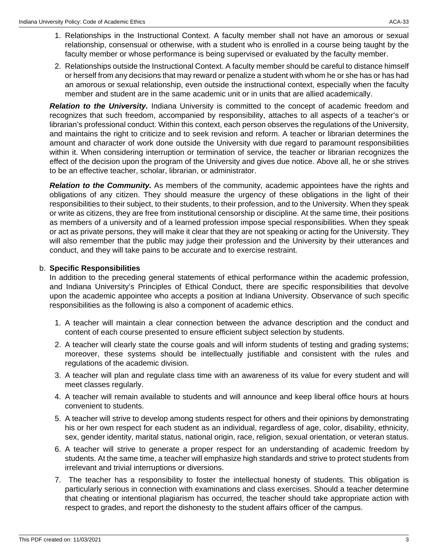- 1. Relationships in the Instructional Context. A faculty member shall not have an amorous or sexual relationship, consensual or otherwise, with a student who is enrolled in a course being taught by the faculty member or whose performance is being supervised or evaluated by the faculty member.
- 2. Relationships outside the Instructional Context. A faculty member should be careful to distance himself or herself from any decisions that may reward or penalize a student with whom he or she has or has had an amorous or sexual relationship, even outside the instructional context, especially when the faculty member and student are in the same academic unit or in units that are allied academically.

**Relation to the University.** Indiana University is committed to the concept of academic freedom and recognizes that such freedom, accompanied by responsibility, attaches to all aspects of a teacher's or librarian's professional conduct. Within this context, each person observes the regulations of the University, and maintains the right to criticize and to seek revision and reform. A teacher or librarian determines the amount and character of work done outside the University with due regard to paramount responsibilities within it. When considering interruption or termination of service, the teacher or librarian recognizes the effect of the decision upon the program of the University and gives due notice. Above all, he or she strives to be an effective teacher, scholar, librarian, or administrator.

**Relation to the Community.** As members of the community, academic appointees have the rights and obligations of any citizen. They should measure the urgency of these obligations in the light of their responsibilities to their subject, to their students, to their profession, and to the University. When they speak or write as citizens, they are free from institutional censorship or discipline. At the same time, their positions as members of a university and of a learned profession impose special responsibilities. When they speak or act as private persons, they will make it clear that they are not speaking or acting for the University. They will also remember that the public may judge their profession and the University by their utterances and conduct, and they will take pains to be accurate and to exercise restraint.

#### b. **Specific Responsibilities**

In addition to the preceding general statements of ethical performance within the academic profession, and Indiana University's Principles of Ethical Conduct, there are specific responsibilities that devolve upon the academic appointee who accepts a position at Indiana University. Observance of such specific responsibilities as the following is also a component of academic ethics.

- 1. A teacher will maintain a clear connection between the advance description and the conduct and content of each course presented to ensure efficient subject selection by students.
- 2. A teacher will clearly state the course goals and will inform students of testing and grading systems; moreover, these systems should be intellectually justifiable and consistent with the rules and regulations of the academic division.
- 3. A teacher will plan and regulate class time with an awareness of its value for every student and will meet classes regularly.
- 4. A teacher will remain available to students and will announce and keep liberal office hours at hours convenient to students.
- 5. A teacher will strive to develop among students respect for others and their opinions by demonstrating his or her own respect for each student as an individual, regardless of age, color, disability, ethnicity, sex, gender identity, marital status, national origin, race, religion, sexual orientation, or veteran status.
- 6. A teacher will strive to generate a proper respect for an understanding of academic freedom by students. At the same time, a teacher will emphasize high standards and strive to protect students from irrelevant and trivial interruptions or diversions.
- 7. The teacher has a responsibility to foster the intellectual honesty of students. This obligation is particularly serious in connection with examinations and class exercises. Should a teacher determine that cheating or intentional plagiarism has occurred, the teacher should take appropriate action with respect to grades, and report the dishonesty to the student affairs officer of the campus.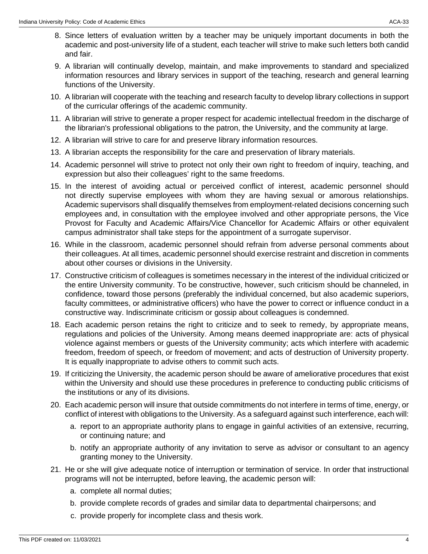- 8. Since letters of evaluation written by a teacher may be uniquely important documents in both the academic and post-university life of a student, each teacher will strive to make such letters both candid and fair.
- 9. A librarian will continually develop, maintain, and make improvements to standard and specialized information resources and library services in support of the teaching, research and general learning functions of the University.
- 10. A librarian will cooperate with the teaching and research faculty to develop library collections in support of the curricular offerings of the academic community.
- 11. A librarian will strive to generate a proper respect for academic intellectual freedom in the discharge of the librarian's professional obligations to the patron, the University, and the community at large.
- 12. A librarian will strive to care for and preserve library information resources.
- 13. A librarian accepts the responsibility for the care and preservation of library materials.
- 14. Academic personnel will strive to protect not only their own right to freedom of inquiry, teaching, and expression but also their colleagues' right to the same freedoms.
- 15. In the interest of avoiding actual or perceived conflict of interest, academic personnel should not directly supervise employees with whom they are having sexual or amorous relationships. Academic supervisors shall disqualify themselves from employment-related decisions concerning such employees and, in consultation with the employee involved and other appropriate persons, the Vice Provost for Faculty and Academic Affairs/Vice Chancellor for Academic Affairs or other equivalent campus administrator shall take steps for the appointment of a surrogate supervisor.
- 16. While in the classroom, academic personnel should refrain from adverse personal comments about their colleagues. At all times, academic personnel should exercise restraint and discretion in comments about other courses or divisions in the University.
- 17. Constructive criticism of colleagues is sometimes necessary in the interest of the individual criticized or the entire University community. To be constructive, however, such criticism should be channeled, in confidence, toward those persons (preferably the individual concerned, but also academic superiors, faculty committees, or administrative officers) who have the power to correct or influence conduct in a constructive way. Indiscriminate criticism or gossip about colleagues is condemned.
- 18. Each academic person retains the right to criticize and to seek to remedy, by appropriate means, regulations and policies of the University. Among means deemed inappropriate are: acts of physical violence against members or guests of the University community; acts which interfere with academic freedom, freedom of speech, or freedom of movement; and acts of destruction of University property. It is equally inappropriate to advise others to commit such acts.
- 19. If criticizing the University, the academic person should be aware of ameliorative procedures that exist within the University and should use these procedures in preference to conducting public criticisms of the institutions or any of its divisions.
- 20. Each academic person will insure that outside commitments do not interfere in terms of time, energy, or conflict of interest with obligations to the University. As a safeguard against such interference, each will:
	- a. report to an appropriate authority plans to engage in gainful activities of an extensive, recurring, or continuing nature; and
	- b. notify an appropriate authority of any invitation to serve as advisor or consultant to an agency granting money to the University.
- 21. He or she will give adequate notice of interruption or termination of service. In order that instructional programs will not be interrupted, before leaving, the academic person will:
	- a. complete all normal duties;
	- b. provide complete records of grades and similar data to departmental chairpersons; and
	- c. provide properly for incomplete class and thesis work.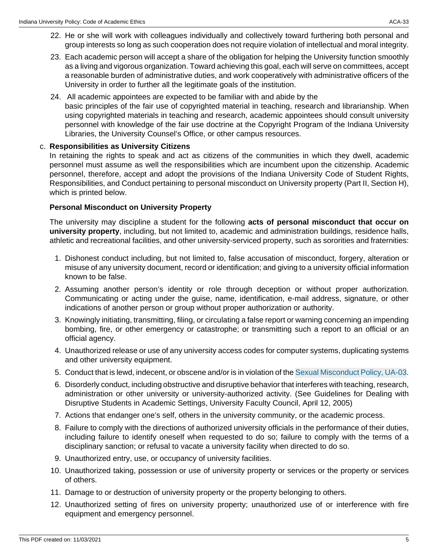- 22. He or she will work with colleagues individually and collectively toward furthering both personal and group interests so long as such cooperation does not require violation of intellectual and moral integrity.
- 23. Each academic person will accept a share of the obligation for helping the University function smoothly as a living and vigorous organization. Toward achieving this goal, each will serve on committees, accept a reasonable burden of administrative duties, and work cooperatively with administrative officers of the University in order to further all the legitimate goals of the institution.
- 24. All academic appointees are expected to be familiar with and abide by the basic principles of the fair use of copyrighted material in teaching, research and librarianship. When using copyrighted materials in teaching and research, academic appointees should consult university personnel with knowledge of the fair use doctrine at the Copyright Program of the Indiana University Libraries, the University Counsel's Office, or other campus resources.

#### c. **Responsibilities as University Citizens**

In retaining the rights to speak and act as citizens of the communities in which they dwell, academic personnel must assume as well the responsibilities which are incumbent upon the citizenship. Academic personnel, therefore, accept and adopt the provisions of the Indiana University Code of Student Rights, Responsibilities, and Conduct pertaining to personal misconduct on University property (Part II, Section H), which is printed below.

#### **Personal Misconduct on University Property**

The university may discipline a student for the following **acts of personal misconduct that occur on university property**, including, but not limited to, academic and administration buildings, residence halls, athletic and recreational facilities, and other university-serviced property, such as sororities and fraternities:

- 1. Dishonest conduct including, but not limited to, false accusation of misconduct, forgery, alteration or misuse of any university document, record or identification; and giving to a university official information known to be false.
- 2. Assuming another person's identity or role through deception or without proper authorization. Communicating or acting under the guise, name, identification, e-mail address, signature, or other indications of another person or group without proper authorization or authority.
- 3. Knowingly initiating, transmitting, filing, or circulating a false report or warning concerning an impending bombing, fire, or other emergency or catastrophe; or transmitting such a report to an official or an official agency.
- 4. Unauthorized release or use of any university access codes for computer systems, duplicating systems and other university equipment.
- 5. Conduct that is lewd, indecent, or obscene and/or is in violation of the [Sexual Misconduct Policy, UA-03.](/policies/ua-03-discrimination-harassment-and-sexual-misconduct/archived-08142020-11032021.html)
- 6. Disorderly conduct, including obstructive and disruptive behavior that interferes with teaching, research, administration or other university or university-authorized activity. (See Guidelines for Dealing with Disruptive Students in Academic Settings, University Faculty Council, April 12, 2005)
- 7. Actions that endanger one's self, others in the university community, or the academic process.
- 8. Failure to comply with the directions of authorized university officials in the performance of their duties, including failure to identify oneself when requested to do so; failure to comply with the terms of a disciplinary sanction; or refusal to vacate a university facility when directed to do so.
- 9. Unauthorized entry, use, or occupancy of university facilities.
- 10. Unauthorized taking, possession or use of university property or services or the property or services of others.
- 11. Damage to or destruction of university property or the property belonging to others.
- 12. Unauthorized setting of fires on university property; unauthorized use of or interference with fire equipment and emergency personnel.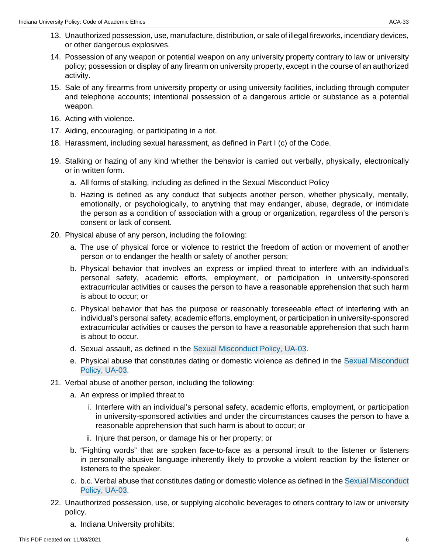- 13. Unauthorized possession, use, manufacture, distribution, or sale of illegal fireworks, incendiary devices, or other dangerous explosives.
- 14. Possession of any weapon or potential weapon on any university property contrary to law or university policy; possession or display of any firearm on university property, except in the course of an authorized activity.
- 15. Sale of any firearms from university property or using university facilities, including through computer and telephone accounts; intentional possession of a dangerous article or substance as a potential weapon.
- 16. Acting with violence.
- 17. Aiding, encouraging, or participating in a riot.
- 18. Harassment, including sexual harassment, as defined in Part I (c) of the Code.
- 19. Stalking or hazing of any kind whether the behavior is carried out verbally, physically, electronically or in written form.
	- a. All forms of stalking, including as defined in the Sexual Misconduct Policy
	- b. Hazing is defined as any conduct that subjects another person, whether physically, mentally, emotionally, or psychologically, to anything that may endanger, abuse, degrade, or intimidate the person as a condition of association with a group or organization, regardless of the person's consent or lack of consent.
- 20. Physical abuse of any person, including the following:
	- a. The use of physical force or violence to restrict the freedom of action or movement of another person or to endanger the health or safety of another person;
	- b. Physical behavior that involves an express or implied threat to interfere with an individual's personal safety, academic efforts, employment, or participation in university-sponsored extracurricular activities or causes the person to have a reasonable apprehension that such harm is about to occur; or
	- c. Physical behavior that has the purpose or reasonably foreseeable effect of interfering with an individual's personal safety, academic efforts, employment, or participation in university-sponsored extracurricular activities or causes the person to have a reasonable apprehension that such harm is about to occur.
	- d. Sexual assault, as defined in the [Sexual Misconduct Policy, UA-03](/policies/ua-03-discrimination-harassment-and-sexual-misconduct/archived-08142020-11032021.html).
	- e. Physical abuse that constitutes dating or domestic violence as defined in the [Sexual Misconduct](/policies/ua-03-discrimination-harassment-and-sexual-misconduct/archived-08142020-11032021.html) [Policy, UA-03.](/policies/ua-03-discrimination-harassment-and-sexual-misconduct/archived-08142020-11032021.html)
- 21. Verbal abuse of another person, including the following:
	- a. An express or implied threat to
		- i. Interfere with an individual's personal safety, academic efforts, employment, or participation in university-sponsored activities and under the circumstances causes the person to have a reasonable apprehension that such harm is about to occur; or
		- ii. Injure that person, or damage his or her property; or
	- b. "Fighting words" that are spoken face-to-face as a personal insult to the listener or listeners in personally abusive language inherently likely to provoke a violent reaction by the listener or listeners to the speaker.
	- c. b.c. Verbal abuse that constitutes dating or domestic violence as defined in the [Sexual Misconduct](/policies/ua-03-discrimination-harassment-and-sexual-misconduct/archived-08142020-11032021.html) [Policy, UA-03.](/policies/ua-03-discrimination-harassment-and-sexual-misconduct/archived-08142020-11032021.html)
- 22. Unauthorized possession, use, or supplying alcoholic beverages to others contrary to law or university policy.
	- a. Indiana University prohibits: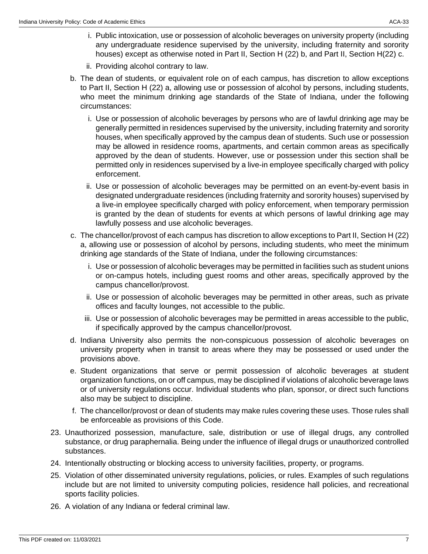- i. Public intoxication, use or possession of alcoholic beverages on university property (including any undergraduate residence supervised by the university, including fraternity and sorority houses) except as otherwise noted in Part II, Section H (22) b, and Part II, Section H(22) c.
- ii. Providing alcohol contrary to law.
- b. The dean of students, or equivalent role on of each campus, has discretion to allow exceptions to Part II, Section H (22) a, allowing use or possession of alcohol by persons, including students, who meet the minimum drinking age standards of the State of Indiana, under the following circumstances:
	- i. Use or possession of alcoholic beverages by persons who are of lawful drinking age may be generally permitted in residences supervised by the university, including fraternity and sorority houses, when specifically approved by the campus dean of students. Such use or possession may be allowed in residence rooms, apartments, and certain common areas as specifically approved by the dean of students. However, use or possession under this section shall be permitted only in residences supervised by a live-in employee specifically charged with policy enforcement.
	- ii. Use or possession of alcoholic beverages may be permitted on an event-by-event basis in designated undergraduate residences (including fraternity and sorority houses) supervised by a live-in employee specifically charged with policy enforcement, when temporary permission is granted by the dean of students for events at which persons of lawful drinking age may lawfully possess and use alcoholic beverages.
- c. The chancellor/provost of each campus has discretion to allow exceptions to Part II, Section H (22) a, allowing use or possession of alcohol by persons, including students, who meet the minimum drinking age standards of the State of Indiana, under the following circumstances:
	- i. Use or possession of alcoholic beverages may be permitted in facilities such as student unions or on-campus hotels, including guest rooms and other areas, specifically approved by the campus chancellor/provost.
	- ii. Use or possession of alcoholic beverages may be permitted in other areas, such as private offices and faculty lounges, not accessible to the public.
	- iii. Use or possession of alcoholic beverages may be permitted in areas accessible to the public, if specifically approved by the campus chancellor/provost.
- d. Indiana University also permits the non-conspicuous possession of alcoholic beverages on university property when in transit to areas where they may be possessed or used under the provisions above.
- e. Student organizations that serve or permit possession of alcoholic beverages at student organization functions, on or off campus, may be disciplined if violations of alcoholic beverage laws or of university regulations occur. Individual students who plan, sponsor, or direct such functions also may be subject to discipline.
- f. The chancellor/provost or dean of students may make rules covering these uses. Those rules shall be enforceable as provisions of this Code.
- 23. Unauthorized possession, manufacture, sale, distribution or use of illegal drugs, any controlled substance, or drug paraphernalia. Being under the influence of illegal drugs or unauthorized controlled substances.
- 24. Intentionally obstructing or blocking access to university facilities, property, or programs.
- 25. Violation of other disseminated university regulations, policies, or rules. Examples of such regulations include but are not limited to university computing policies, residence hall policies, and recreational sports facility policies.
- 26. A violation of any Indiana or federal criminal law.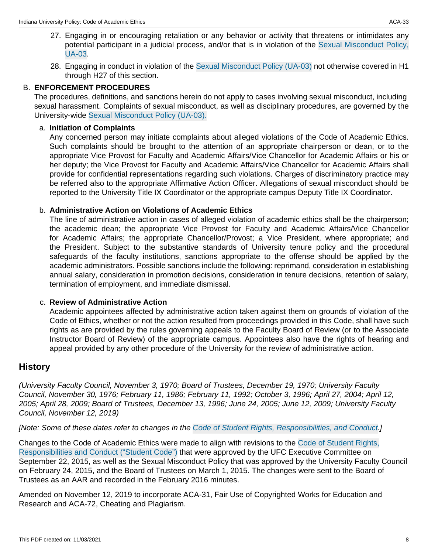- 27. Engaging in or encouraging retaliation or any behavior or activity that threatens or intimidates any potential participant in a judicial process, and/or that is in violation of the [Sexual Misconduct Policy,](/policies/ua-03-discrimination-harassment-and-sexual-misconduct/archived-08142020-11032021.html) [UA-03](/policies/ua-03-discrimination-harassment-and-sexual-misconduct/archived-08142020-11032021.html).
- 28. Engaging in conduct in violation of the [Sexual Misconduct Policy \(UA-03\)](/policies/ua-03-discrimination-harassment-and-sexual-misconduct/archived-08142020-11032021.html) not otherwise covered in H1 through H27 of this section.

#### B. **ENFORCEMENT PROCEDURES**

The procedures, definitions, and sanctions herein do not apply to cases involving sexual misconduct, including sexual harassment. Complaints of sexual misconduct, as well as disciplinary procedures, are governed by the University-wide [Sexual Misconduct Policy \(UA-03\).](/policies/ua-03-discrimination-harassment-and-sexual-misconduct/archived-08142020-11032021.html)

#### a. **Initiation of Complaints**

Any concerned person may initiate complaints about alleged violations of the Code of Academic Ethics. Such complaints should be brought to the attention of an appropriate chairperson or dean, or to the appropriate Vice Provost for Faculty and Academic Affairs/Vice Chancellor for Academic Affairs or his or her deputy; the Vice Provost for Faculty and Academic Affairs/Vice Chancellor for Academic Affairs shall provide for confidential representations regarding such violations. Charges of discriminatory practice may be referred also to the appropriate Affirmative Action Officer. Allegations of sexual misconduct should be reported to the University Title IX Coordinator or the appropriate campus Deputy Title IX Coordinator.

#### b. **Administrative Action on Violations of Academic Ethics**

The line of administrative action in cases of alleged violation of academic ethics shall be the chairperson; the academic dean; the appropriate Vice Provost for Faculty and Academic Affairs/Vice Chancellor for Academic Affairs; the appropriate Chancellor/Provost; a Vice President, where appropriate; and the President. Subject to the substantive standards of University tenure policy and the procedural safeguards of the faculty institutions, sanctions appropriate to the offense should be applied by the academic administrators. Possible sanctions include the following: reprimand, consideration in establishing annual salary, consideration in promotion decisions, consideration in tenure decisions, retention of salary, termination of employment, and immediate dismissal.

#### c. **Review of Administrative Action**

Academic appointees affected by administrative action taken against them on grounds of violation of the Code of Ethics, whether or not the action resulted from proceedings provided in this Code, shall have such rights as are provided by the rules governing appeals to the Faculty Board of Review (or to the Associate Instructor Board of Review) of the appropriate campus. Appointees also have the rights of hearing and appeal provided by any other procedure of the University for the review of administrative action.

### **History**

(University Faculty Council, November 3, 1970; Board of Trustees, December 19, 1970; University Faculty Council, November 30, 1976; February 11, 1986; February 11, 1992; October 3, 1996; April 27, 2004; April 12, 2005; April 28, 2009; Board of Trustees, December 13, 1996; June 24, 2005; June 12, 2009; University Faculty Council, November 12, 2019)

[Note: Some of these dates refer to changes in the [Code of Student Rights, Responsibilities, and Conduct.](https://studentcode.iu.edu/)]

Changes to the Code of Academic Ethics were made to align with revisions to the [Code of Student Rights,](http://studentcode.iu.edu/) [Responsibilities and Conduct \("Student Code"\)](http://studentcode.iu.edu/) that were approved by the UFC Executive Committee on September 22, 2015, as well as the Sexual Misconduct Policy that was approved by the University Faculty Council on February 24, 2015, and the Board of Trustees on March 1, 2015. The changes were sent to the Board of Trustees as an AAR and recorded in the February 2016 minutes.

Amended on November 12, 2019 to incorporate ACA-31, Fair Use of Copyrighted Works for Education and Research and ACA-72, Cheating and Plagiarism.